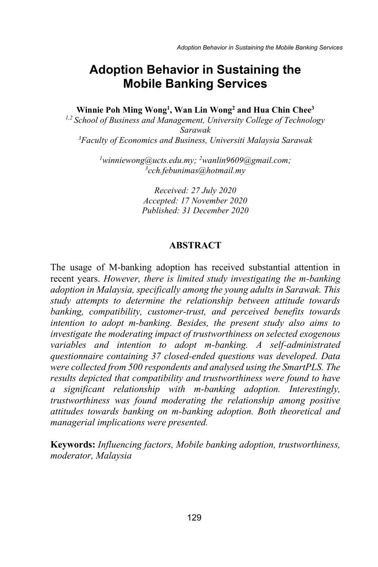# **Adoption Behavior in Sustaining the Mobile Banking Services**

**Winnie Poh Ming Wong1 , Wan Lin Wong2 and Hua Chin Chee3**

*1,2 School of Business and Management, University College of Technology Sarawak 3 Faculty of Economics and Business, Universiti Malaysia Sarawak*

> <sup>1</sup>winniewong@ucts.edu.my; <sup>2</sup>wanlin9609@gmail.com;<br><sup>3</sup>cch febunimas@hotmail.my *cch.febunimas@hotmail.my*

> > *Received: 27 July 2020 Accepted: 17 November 2020 Published: 31 December 2020*

#### **ABSTRACT**

The usage of M-banking adoption has received substantial attention in recent years. *However, there is limited study investigating the m-banking adoption in Malaysia, specifically among the young adults in Sarawak. This study attempts to determine the relationship between attitude towards banking, compatibility, customer-trust, and perceived benefits towards intention to adopt m-banking. Besides, the present study also aims to investigate the moderating impact of trustworthiness on selected exogenous variables and intention to adopt m-banking. A self-administrated questionnaire containing 37 closed-ended questions was developed. Data were collected from 500 respondents and analysed using the SmartPLS. The results depicted that compatibility and trustworthiness were found to have a significant relationship with m-banking adoption. Interestingly, trustworthiness was found moderating the relationship among positive attitudes towards banking on m-banking adoption. Both theoretical and managerial implications were presented.* 

**Keywords:** *Influencing factors, Mobile banking adoption, trustworthiness, moderator, Malaysia*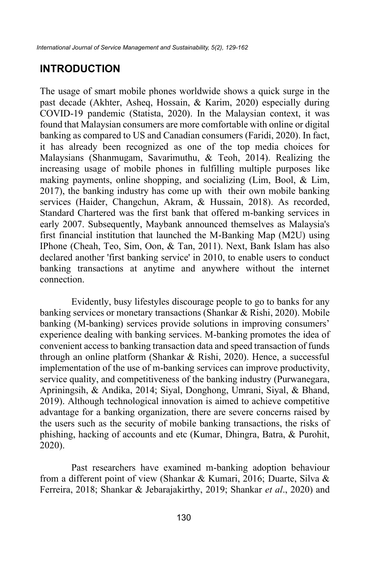## **INTRODUCTION**

The usage of smart mobile phones worldwide shows a quick surge in the past decade (Akhter, Asheq, Hossain, & Karim, 2020) especially during COVID-19 pandemic (Statista, 2020). In the Malaysian context, it was found that Malaysian consumers are more comfortable with online or digital banking as compared to US and Canadian consumers (Faridi, 2020). In fact, it has already been recognized as one of the top media choices for Malaysians (Shanmugam, Savarimuthu, & Teoh, 2014). Realizing the increasing usage of mobile phones in fulfilling multiple purposes like making payments, online shopping, and socializing (Lim, Bool, & Lim, 2017), the banking industry has come up with their own mobile banking services (Haider, Changchun, Akram, & Hussain, 2018). As recorded, Standard Chartered was the first bank that offered m-banking services in early 2007. Subsequently, Maybank announced themselves as Malaysia's first financial institution that launched the M-Banking Map (M2U) using IPhone (Cheah, Teo, Sim, Oon, & Tan, 2011). Next, Bank Islam has also declared another 'first banking service' in 2010, to enable users to conduct banking transactions at anytime and anywhere without the internet connection.

Evidently, busy lifestyles discourage people to go to banks for any banking services or monetary transactions (Shankar & Rishi, 2020). Mobile banking (M-banking) services provide solutions in improving consumers' experience dealing with banking services. M-banking promotes the idea of convenient access to banking transaction data and speed transaction of funds through an online platform (Shankar & Rishi, 2020). Hence, a successful implementation of the use of m-banking services can improve productivity, service quality, and competitiveness of the banking industry (Purwanegara, Apriningsih, & Andika, 2014; Siyal, Donghong, Umrani, Siyal, & Bhand, 2019). Although technological innovation is aimed to achieve competitive advantage for a banking organization, there are severe concerns raised by the users such as the security of mobile banking transactions, the risks of phishing, hacking of accounts and etc (Kumar, Dhingra, Batra, & Purohit, 2020).

Past researchers have examined m-banking adoption behaviour from a different point of view (Shankar & Kumari, 2016; Duarte, Silva & Ferreira, 2018; Shankar & Jebarajakirthy, 2019; Shankar *et al*., 2020) and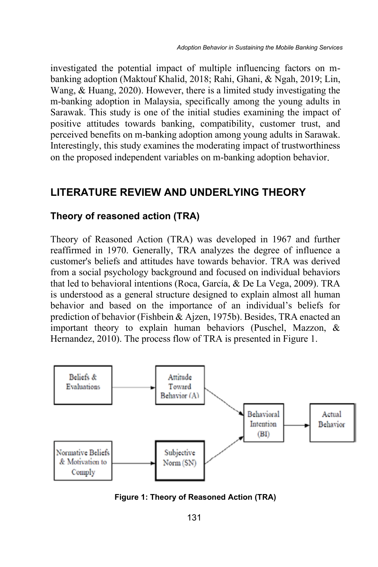investigated the potential impact of multiple influencing factors on mbanking adoption (Maktouf Khalid, 2018; Rahi, Ghani, & Ngah, 2019; Lin, Wang, & Huang, 2020). However, there is a limited study investigating the m-banking adoption in Malaysia, specifically among the young adults in Sarawak. This study is one of the initial studies examining the impact of positive attitudes towards banking, compatibility, customer trust, and perceived benefits on m-banking adoption among young adults in Sarawak. Interestingly, this study examines the moderating impact of trustworthiness on the proposed independent variables on m-banking adoption behavior.

### **LITERATURE REVIEW AND UNDERLYING THEORY**

#### **Theory of reasoned action (TRA)**

Theory of Reasoned Action (TRA) was developed in 1967 and further reaffirmed in 1970. Generally, TRA analyzes the degree of influence a customer's beliefs and attitudes have towards behavior. TRA was derived from a social psychology background and focused on individual behaviors that led to behavioral intentions (Roca, García, & De La Vega, 2009). TRA is understood as a general structure designed to explain almost all human behavior and based on the importance of an individual's beliefs for prediction of behavior (Fishbein & Ajzen, 1975b). Besides, TRA enacted an important theory to explain human behaviors (Puschel, Mazzon, & Hernandez, 2010). The process flow of TRA is presented in Figure 1.



**Figure 1: Theory of Reasoned Action (TRA)**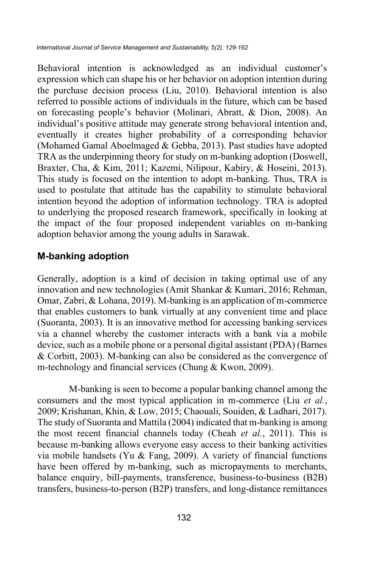Behavioral intention is acknowledged as an individual customer's expression which can shape his or her behavior on adoption intention during the purchase decision process (Liu, 2010). Behavioral intention is also referred to possible actions of individuals in the future, which can be based on forecasting people's behavior (Molinari, Abratt, & Dion, 2008). An individual's positive attitude may generate strong behavioral intention and, eventually it creates higher probability of a corresponding behavior (Mohamed Gamal Aboelmaged & Gebba, 2013). Past studies have adopted TRA as the underpinning theory for study on m-banking adoption (Doswell, Braxter, Cha, & Kim, 2011; Kazemi, Nilipour, Kabiry, & Hoseini, 2013). This study is focused on the intention to adopt m-banking. Thus, TRA is used to postulate that attitude has the capability to stimulate behavioral intention beyond the adoption of information technology. TRA is adopted to underlying the proposed research framework, specifically in looking at the impact of the four proposed independent variables on m-banking adoption behavior among the young adults in Sarawak.

#### **M-banking adoption**

Generally, adoption is a kind of decision in taking optimal use of any innovation and new technologies (Amit Shankar & Kumari, 2016; Rehman, Omar, Zabri, & Lohana, 2019). M-banking is an application of m-commerce that enables customers to bank virtually at any convenient time and place (Suoranta, 2003). It is an innovative method for accessing banking services via a channel whereby the customer interacts with a bank via a mobile device, such as a mobile phone or a personal digital assistant (PDA) (Barnes & Corbitt, 2003). M-banking can also be considered as the convergence of m-technology and financial services (Chung & Kwon, 2009).

M-banking is seen to become a popular banking channel among the consumers and the most typical application in m-commerce (Liu *et al.*, 2009; Krishanan, Khin, & Low, 2015; Chaouali, Souiden, & Ladhari, 2017). The study of Suoranta and Mattila (2004) indicated that m-banking is among the most recent financial channels today (Cheah *et al.*, 2011). This is because m-banking allows everyone easy access to their banking activities via mobile handsets (Yu & Fang, 2009). A variety of financial functions have been offered by m-banking, such as micropayments to merchants, balance enquiry, bill-payments, transference, business-to-business (B2B) transfers, business-to-person (B2P) transfers, and long-distance remittances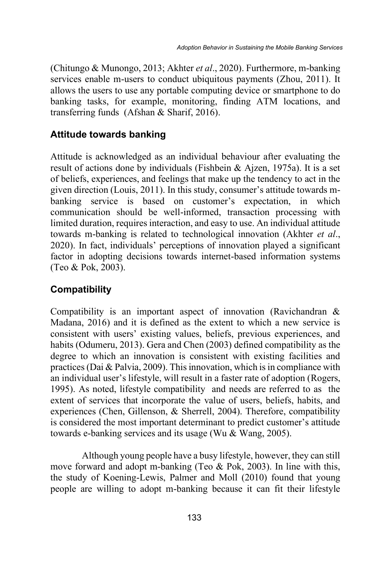(Chitungo & Munongo, 2013; Akhter *et al*., 2020). Furthermore, m-banking services enable m-users to conduct ubiquitous payments (Zhou, 2011). It allows the users to use any portable computing device or smartphone to do banking tasks, for example, monitoring, finding ATM locations, and transferring funds (Afshan & Sharif, 2016).

#### **Attitude towards banking**

Attitude is acknowledged as an individual behaviour after evaluating the result of actions done by individuals (Fishbein & Ajzen, 1975a). It is a set of beliefs, experiences, and feelings that make up the tendency to act in the given direction (Louis, 2011). In this study, consumer's attitude towards mbanking service is based on customer's expectation, in which communication should be well-informed, transaction processing with limited duration, requires interaction, and easy to use. An individual attitude towards m-banking is related to technological innovation (Akhter *et al*., 2020). In fact, individuals' perceptions of innovation played a significant factor in adopting decisions towards internet-based information systems (Teo & Pok, 2003).

#### **Compatibility**

Compatibility is an important aspect of innovation (Ravichandran & Madana, 2016) and it is defined as the extent to which a new service is consistent with users' existing values, beliefs, previous experiences, and habits (Odumeru, 2013). Gera and Chen (2003) defined compatibility as the degree to which an innovation is consistent with existing facilities and practices (Dai & Palvia, 2009). This innovation, which is in compliance with an individual user's lifestyle, will result in a faster rate of adoption (Rogers, 1995). As noted, lifestyle compatibility and needs are referred to as the extent of services that incorporate the value of users, beliefs, habits, and experiences (Chen, Gillenson, & Sherrell, 2004). Therefore, compatibility is considered the most important determinant to predict customer's attitude towards e-banking services and its usage (Wu & Wang, 2005).

Although young people have a busy lifestyle, however, they can still move forward and adopt m-banking (Teo  $& Pok$ , 2003). In line with this, the study of Koening-Lewis, Palmer and Moll (2010) found that young people are willing to adopt m-banking because it can fit their lifestyle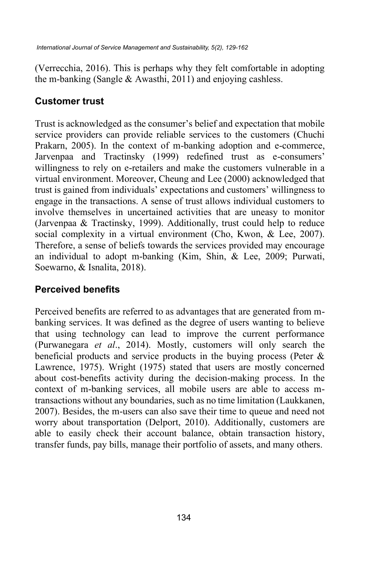(Verrecchia, 2016). This is perhaps why they felt comfortable in adopting the m-banking (Sangle & Awasthi, 2011) and enjoying cashless.

### **Customer trust**

Trust is acknowledged as the consumer's belief and expectation that mobile service providers can provide reliable services to the customers (Chuchi Prakarn, 2005). In the context of m-banking adoption and e-commerce, Jarvenpaa and Tractinsky (1999) redefined trust as e-consumers' willingness to rely on e-retailers and make the customers vulnerable in a virtual environment. Moreover, Cheung and Lee (2000) acknowledged that trust is gained from individuals' expectations and customers' willingness to engage in the transactions. A sense of trust allows individual customers to involve themselves in uncertained activities that are uneasy to monitor (Jarvenpaa & Tractinsky, 1999). Additionally, trust could help to reduce social complexity in a virtual environment (Cho, Kwon, & Lee, 2007). Therefore, a sense of beliefs towards the services provided may encourage an individual to adopt m-banking (Kim, Shin, & Lee, 2009; Purwati, Soewarno, & Isnalita, 2018).

## **Perceived benefits**

Perceived benefits are referred to as advantages that are generated from mbanking services. It was defined as the degree of users wanting to believe that using technology can lead to improve the current performance (Purwanegara *et al*., 2014). Mostly, customers will only search the beneficial products and service products in the buying process (Peter  $\&$ Lawrence, 1975). Wright (1975) stated that users are mostly concerned about cost-benefits activity during the decision-making process. In the context of m-banking services, all mobile users are able to access mtransactions without any boundaries, such as no time limitation (Laukkanen, 2007). Besides, the m-users can also save their time to queue and need not worry about transportation (Delport, 2010). Additionally, customers are able to easily check their account balance, obtain transaction history, transfer funds, pay bills, manage their portfolio of assets, and many others.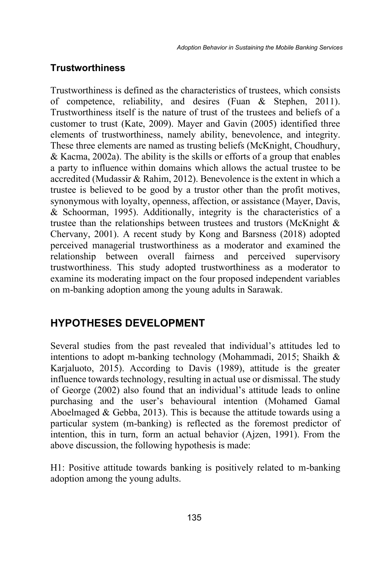## **Trustworthiness**

Trustworthiness is defined as the characteristics of trustees, which consists of competence, reliability, and desires (Fuan & Stephen, 2011). Trustworthiness itself is the nature of trust of the trustees and beliefs of a customer to trust (Kate, 2009). Mayer and Gavin (2005) identified three elements of trustworthiness, namely ability, benevolence, and integrity. These three elements are named as trusting beliefs (McKnight, Choudhury, & Kacma, 2002a). The ability is the skills or efforts of a group that enables a party to influence within domains which allows the actual trustee to be accredited (Mudassir & Rahim, 2012). Benevolence is the extent in which a trustee is believed to be good by a trustor other than the profit motives, synonymous with loyalty, openness, affection, or assistance (Mayer, Davis, & Schoorman, 1995). Additionally, integrity is the characteristics of a trustee than the relationships between trustees and trustors (McKnight  $\&$ Chervany, 2001). A recent study by Kong and Barsness (2018) adopted perceived managerial trustworthiness as a moderator and examined the relationship between overall fairness and perceived supervisory trustworthiness. This study adopted trustworthiness as a moderator to examine its moderating impact on the four proposed independent variables on m-banking adoption among the young adults in Sarawak.

## **HYPOTHESES DEVELOPMENT**

Several studies from the past revealed that individual's attitudes led to intentions to adopt m-banking technology (Mohammadi, 2015; Shaikh & Karjaluoto, 2015). According to Davis (1989), attitude is the greater influence towards technology, resulting in actual use or dismissal. The study of George (2002) also found that an individual's attitude leads to online purchasing and the user's behavioural intention (Mohamed Gamal Aboelmaged & Gebba, 2013). This is because the attitude towards using a particular system (m-banking) is reflected as the foremost predictor of intention, this in turn, form an actual behavior (Ajzen, 1991). From the above discussion, the following hypothesis is made:

H1: Positive attitude towards banking is positively related to m-banking adoption among the young adults.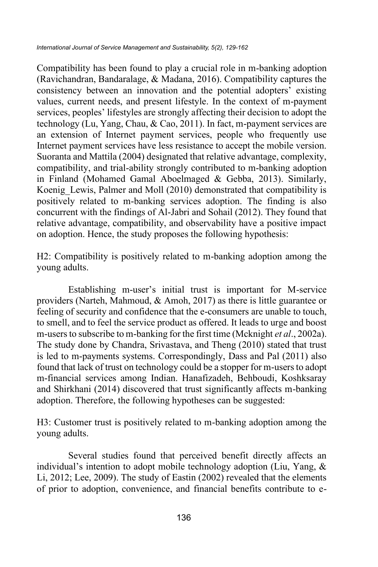Compatibility has been found to play a crucial role in m-banking adoption (Ravichandran, Bandaralage, & Madana, 2016). Compatibility captures the consistency between an innovation and the potential adopters' existing values, current needs, and present lifestyle. In the context of m-payment services, peoples' lifestyles are strongly affecting their decision to adopt the technology (Lu, Yang, Chau, & Cao, 2011). In fact, m-payment services are an extension of Internet payment services, people who frequently use Internet payment services have less resistance to accept the mobile version. Suoranta and Mattila (2004) designated that relative advantage, complexity, compatibility, and trial-ability strongly contributed to m-banking adoption in Finland (Mohamed Gamal Aboelmaged & Gebba, 2013). Similarly, Koenig Lewis, Palmer and Moll (2010) demonstrated that compatibility is positively related to m-banking services adoption. The finding is also concurrent with the findings of Al-Jabri and Sohail (2012). They found that relative advantage, compatibility, and observability have a positive impact on adoption. Hence, the study proposes the following hypothesis:

H2: Compatibility is positively related to m-banking adoption among the young adults.

Establishing m-user's initial trust is important for M-service providers (Narteh, Mahmoud, & Amoh, 2017) as there is little guarantee or feeling of security and confidence that the e-consumers are unable to touch, to smell, and to feel the service product as offered. It leads to urge and boost m-users to subscribe to m-banking for the first time (Mcknight *et al*., 2002a). The study done by Chandra, Srivastava, and Theng (2010) stated that trust is led to m-payments systems. Correspondingly, Dass and Pal (2011) also found that lack of trust on technology could be a stopper for m-users to adopt m-financial services among Indian. Hanafizadeh, Behboudi, Koshksaray and Shirkhani (2014) discovered that trust significantly affects m-banking adoption. Therefore, the following hypotheses can be suggested:

H3: Customer trust is positively related to m-banking adoption among the young adults.

Several studies found that perceived benefit directly affects an individual's intention to adopt mobile technology adoption (Liu, Yang, & Li, 2012; Lee, 2009). The study of Eastin (2002) revealed that the elements of prior to adoption, convenience, and financial benefits contribute to e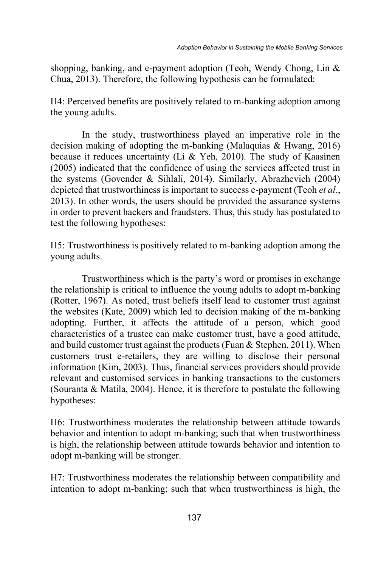shopping, banking, and e-payment adoption (Teoh, Wendy Chong, Lin & Chua, 2013). Therefore, the following hypothesis can be formulated:

H4: Perceived benefits are positively related to m-banking adoption among the young adults.

In the study, trustworthiness played an imperative role in the decision making of adopting the m-banking (Malaquias & Hwang, 2016) because it reduces uncertainty (Li & Yeh, 2010). The study of Kaasinen (2005) indicated that the confidence of using the services affected trust in the systems (Govender & Sihlali, 2014). Similarly, Abrazhevich (2004) depicted that trustworthiness is important to success e-payment (Teoh *et al*., 2013). In other words, the users should be provided the assurance systems in order to prevent hackers and fraudsters. Thus, this study has postulated to test the following hypotheses:

H5: Trustworthiness is positively related to m-banking adoption among the young adults.

Trustworthiness which is the party's word or promises in exchange the relationship is critical to influence the young adults to adopt m-banking (Rotter, 1967). As noted, trust beliefs itself lead to customer trust against the websites (Kate, 2009) which led to decision making of the m-banking adopting. Further, it affects the attitude of a person, which good characteristics of a trustee can make customer trust, have a good attitude, and build customer trust against the products (Fuan & Stephen, 2011). When customers trust e-retailers, they are willing to disclose their personal information (Kim, 2003). Thus, financial services providers should provide relevant and customised services in banking transactions to the customers (Souranta & Matila, 2004). Hence, it is therefore to postulate the following hypotheses:

H6: Trustworthiness moderates the relationship between attitude towards behavior and intention to adopt m-banking; such that when trustworthiness is high, the relationship between attitude towards behavior and intention to adopt m-banking will be stronger.

H7: Trustworthiness moderates the relationship between compatibility and intention to adopt m-banking; such that when trustworthiness is high, the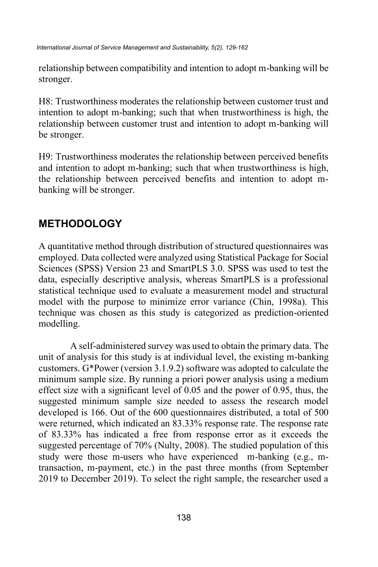relationship between compatibility and intention to adopt m-banking will be stronger.

H8: Trustworthiness moderates the relationship between customer trust and intention to adopt m-banking; such that when trustworthiness is high, the relationship between customer trust and intention to adopt m-banking will be stronger.

H9: Trustworthiness moderates the relationship between perceived benefits and intention to adopt m-banking; such that when trustworthiness is high, the relationship between perceived benefits and intention to adopt mbanking will be stronger.

## **METHODOLOGY**

A quantitative method through distribution of structured questionnaires was employed. Data collected were analyzed using Statistical Package for Social Sciences (SPSS) Version 23 and SmartPLS 3.0. SPSS was used to test the data, especially descriptive analysis, whereas SmartPLS is a professional statistical technique used to evaluate a measurement model and structural model with the purpose to minimize error variance (Chin, 1998a). This technique was chosen as this study is categorized as prediction-oriented modelling.

A self-administered survey was used to obtain the primary data. The unit of analysis for this study is at individual level, the existing m-banking customers. G\*Power (version 3.1.9.2) software was adopted to calculate the minimum sample size. By running a priori power analysis using a medium effect size with a significant level of 0.05 and the power of 0.95, thus, the suggested minimum sample size needed to assess the research model developed is 166. Out of the 600 questionnaires distributed, a total of 500 were returned, which indicated an 83.33% response rate. The response rate of 83.33% has indicated a free from response error as it exceeds the suggested percentage of 70% (Nulty, 2008). The studied population of this study were those m-users who have experienced m-banking (e.g., mtransaction, m-payment, etc.) in the past three months (from September 2019 to December 2019). To select the right sample, the researcher used a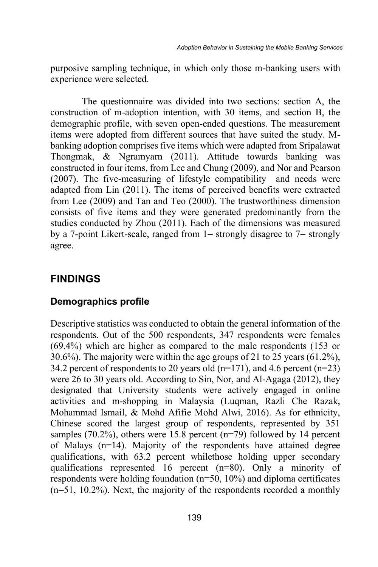purposive sampling technique, in which only those m-banking users with experience were selected.

The questionnaire was divided into two sections: section A, the construction of m-adoption intention, with 30 items, and section B, the demographic profile, with seven open-ended questions. The measurement items were adopted from different sources that have suited the study. Mbanking adoption comprises five items which were adapted from Sripalawat Thongmak, & Ngramyarn (2011). Attitude towards banking was constructed in four items, from Lee and Chung (2009), and Nor and Pearson (2007). The five-measuring of lifestyle compatibility and needs were adapted from Lin (2011). The items of perceived benefits were extracted from Lee (2009) and Tan and Teo (2000). The trustworthiness dimension consists of five items and they were generated predominantly from the studies conducted by Zhou (2011). Each of the dimensions was measured by a 7-point Likert-scale, ranged from  $1=$  strongly disagree to  $7=$  strongly agree.

#### **FINDINGS**

#### **Demographics profile**

Descriptive statistics was conducted to obtain the general information of the respondents. Out of the 500 respondents, 347 respondents were females (69.4%) which are higher as compared to the male respondents (153 or 30.6%). The majority were within the age groups of 21 to 25 years (61.2%), 34.2 percent of respondents to 20 years old  $(n=171)$ , and 4.6 percent  $(n=23)$ were 26 to 30 years old. According to Sin, Nor, and Al-Agaga (2012), they designated that University students were actively engaged in online activities and m-shopping in Malaysia (Luqman, Razli Che Razak, Mohammad Ismail, & Mohd Afifie Mohd Alwi, 2016). As for ethnicity, Chinese scored the largest group of respondents, represented by 351 samples (70.2%), others were 15.8 percent ( $n=79$ ) followed by 14 percent of Malays (n=14). Majority of the respondents have attained degree qualifications, with 63.2 percent whilethose holding upper secondary qualifications represented 16 percent (n=80). Only a minority of respondents were holding foundation (n=50, 10%) and diploma certificates (n=51, 10.2%). Next, the majority of the respondents recorded a monthly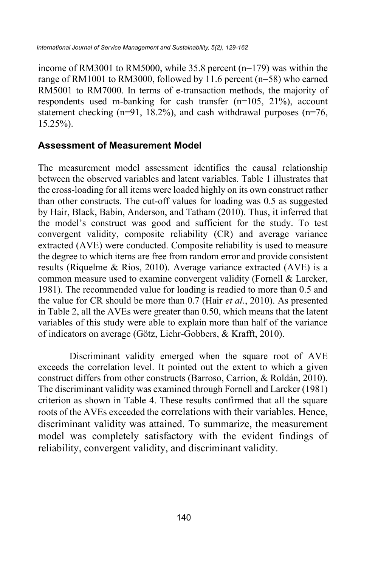income of RM3001 to RM5000, while 35.8 percent (n=179) was within the range of RM1001 to RM3000, followed by 11.6 percent (n=58) who earned RM5001 to RM7000. In terms of e-transaction methods, the majority of respondents used m-banking for cash transfer (n=105, 21%), account statement checking  $(n=91, 18.2\%)$ , and cash withdrawal purposes  $(n=76,$ 15.25%).

#### **Assessment of Measurement Model**

The measurement model assessment identifies the causal relationship between the observed variables and latent variables. Table 1 illustrates that the cross-loading for all items were loaded highly on its own construct rather than other constructs. The cut-off values for loading was 0.5 as suggested by Hair, Black, Babin, Anderson, and Tatham (2010). Thus, it inferred that the model's construct was good and sufficient for the study. To test convergent validity, composite reliability (CR) and average variance extracted (AVE) were conducted. Composite reliability is used to measure the degree to which items are free from random error and provide consistent results (Riquelme & Rios, 2010). Average variance extracted (AVE) is a common measure used to examine convergent validity (Fornell & Larcker, 1981). The recommended value for loading is readied to more than 0.5 and the value for CR should be more than 0.7 (Hair *et al*., 2010). As presented in Table 2, all the AVEs were greater than 0.50, which means that the latent variables of this study were able to explain more than half of the variance of indicators on average (Götz, Liehr-Gobbers, & Krafft, 2010).

Discriminant validity emerged when the square root of AVE exceeds the correlation level. It pointed out the extent to which a given construct differs from other constructs (Barroso, Carrion, & Roldán, 2010). The discriminant validity was examined through Fornell and Larcker (1981) criterion as shown in Table 4. These results confirmed that all the square roots of the AVEs exceeded the correlations with their variables. Hence, discriminant validity was attained. To summarize, the measurement model was completely satisfactory with the evident findings of reliability, convergent validity, and discriminant validity.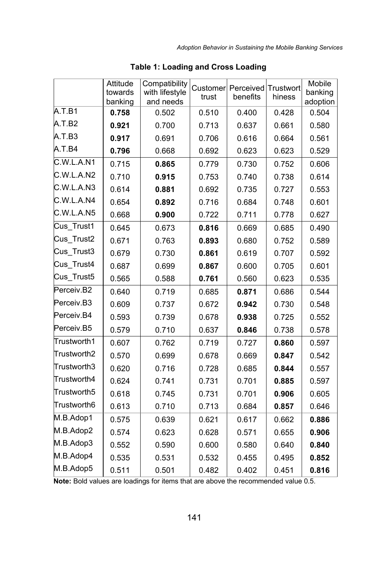|             | Attitude<br>towards<br>banking | Compatibility<br>with lifestyle<br>and needs | Customer<br>trust | Perceived<br>benefits | Trustwort<br>hiness | Mobile<br>banking<br>adoption |
|-------------|--------------------------------|----------------------------------------------|-------------------|-----------------------|---------------------|-------------------------------|
| A.T.B1      | 0.758                          | 0.502                                        | 0.510             | 0.400                 | 0.428               | 0.504                         |
| A.T.B2      | 0.921                          | 0.700                                        | 0.713             | 0.637                 | 0.661               | 0.580                         |
| A.T.B3      | 0.917                          | 0.691                                        | 0.706             | 0.616                 | 0.664               | 0.561                         |
| A.T.B4      | 0.796                          | 0.668                                        | 0.692             | 0.623                 | 0.623               | 0.529                         |
| C.W.L.A.N1  | 0.715                          | 0.865                                        | 0.779             | 0.730                 | 0.752               | 0.606                         |
| C.W.L.A.N2  | 0.710                          | 0.915                                        | 0.753             | 0.740                 | 0.738               | 0.614                         |
| C.W.L.A.N3  | 0.614                          | 0.881                                        | 0.692             | 0.735                 | 0.727               | 0.553                         |
| C.W.L.A.N4  | 0.654                          | 0.892                                        | 0.716             | 0.684                 | 0.748               | 0.601                         |
| C.W.L.A.N5  | 0.668                          | 0.900                                        | 0.722             | 0.711                 | 0.778               | 0.627                         |
| Cus Trust1  | 0.645                          | 0.673                                        | 0.816             | 0.669                 | 0.685               | 0.490                         |
| Cus Trust2  | 0.671                          | 0.763                                        | 0.893             | 0.680                 | 0.752               | 0.589                         |
| Cus_Trust3  | 0.679                          | 0.730                                        | 0.861             | 0.619                 | 0.707               | 0.592                         |
| Cus Trust4  | 0.687                          | 0.699                                        | 0.867             | 0.600                 | 0.705               | 0.601                         |
| Cus_Trust5  | 0.565                          | 0.588                                        | 0.761             | 0.560                 | 0.623               | 0.535                         |
| Perceiv.B2  | 0.640                          | 0.719                                        | 0.685             | 0.871                 | 0.686               | 0.544                         |
| Perceiv.B3  | 0.609                          | 0.737                                        | 0.672             | 0.942                 | 0.730               | 0.548                         |
| Perceiv.B4  | 0.593                          | 0.739                                        | 0.678             | 0.938                 | 0.725               | 0.552                         |
| Perceiv.B5  | 0.579                          | 0.710                                        | 0.637             | 0.846                 | 0.738               | 0.578                         |
| Trustworth1 | 0.607                          | 0.762                                        | 0.719             | 0.727                 | 0.860               | 0.597                         |
| Trustworth2 | 0.570                          | 0.699                                        | 0.678             | 0.669                 | 0.847               | 0.542                         |
| Trustworth3 | 0.620                          | 0.716                                        | 0.728             | 0.685                 | 0.844               | 0.557                         |
| Trustworth4 | 0.624                          | 0.741                                        | 0.731             | 0.701                 | 0.885               | 0.597                         |
| Trustworth5 | 0.618                          | 0.745                                        | 0.731             | 0.701                 | 0.906               | 0.605                         |
| Trustworth6 | 0.613                          | 0.710                                        | 0.713             | 0.684                 | 0.857               | 0.646                         |
| M.B.Adop1   | 0.575                          | 0.639                                        | 0.621             | 0.617                 | 0.662               | 0.886                         |
| M.B.Adop2   | 0.574                          | 0.623                                        | 0.628             | 0.571                 | 0.655               | 0.906                         |
| M.B.Adop3   | 0.552                          | 0.590                                        | 0.600             | 0.580                 | 0.640               | 0.840                         |
| M.B.Adop4   | 0.535                          | 0.531                                        | 0.532             | 0.455                 | 0.495               | 0.852                         |
| M.B.Adop5   | 0.511                          | 0.501                                        | 0.482             | 0.402                 | 0.451               | 0.816                         |

**Table 1: Loading and Cross Loading**

**Note:** Bold values are loadings for items that are above the recommended value 0.5.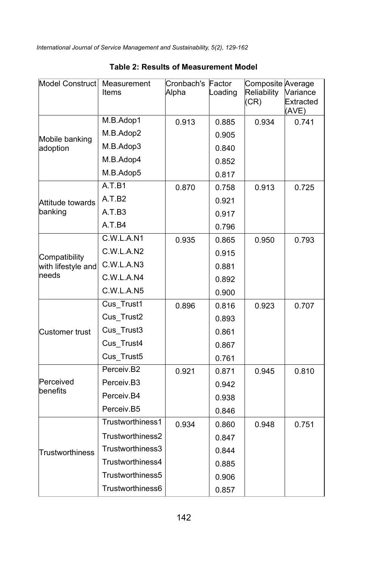| Model Construct            | Measurement<br>Items | Cronbach's Factor<br>Alpha | Loading | Composite Average<br>Reliability<br>(CR) | Variance<br>Extracted<br>(AVE) |
|----------------------------|----------------------|----------------------------|---------|------------------------------------------|--------------------------------|
| Mobile banking<br>adoption | M.B.Adop1            | 0.913                      | 0.885   | 0.934                                    | 0.741                          |
|                            | M.B.Adop2            |                            | 0.905   |                                          |                                |
|                            | M.B.Adop3            |                            | 0.840   |                                          |                                |
|                            | M.B.Adop4            |                            | 0.852   |                                          |                                |
|                            | M.B.Adop5            |                            | 0.817   |                                          |                                |
|                            | A.T.B1               | 0.870                      | 0.758   | 0.913                                    | 0.725                          |
| Attitude towards           | A.T.B2               |                            | 0.921   |                                          |                                |
| banking                    | A.T.B3               |                            | 0.917   |                                          |                                |
|                            | A.T.B4               |                            | 0.796   |                                          |                                |
|                            | C.W.L.A.N1           | 0.935                      | 0.865   | 0.950                                    | 0.793                          |
| Compatibility              | C.W.L.A.N2           |                            | 0.915   |                                          |                                |
| with lifestyle and         | C.W.L.A.N3           |                            | 0.881   |                                          |                                |
| needs                      | C.W.L.A.N4           |                            | 0.892   |                                          |                                |
|                            | C.W.L.A.N5           |                            | 0.900   |                                          |                                |
|                            | Cus_Trust1           | 0.896                      | 0.816   | 0.923                                    | 0.707                          |
|                            | Cus Trust2           |                            | 0.893   |                                          |                                |
| Customer trust             | Cus_Trust3           |                            | 0.861   |                                          |                                |
|                            | Cus Trust4           |                            | 0.867   |                                          |                                |
|                            | Cus_Trust5           |                            | 0.761   |                                          |                                |
|                            | Perceiv.B2           | 0.921                      | 0.871   | 0.945                                    | 0.810                          |
| Perceived<br>benefits      | Perceiv.B3           |                            | 0.942   |                                          |                                |
|                            | Perceiv.B4           |                            | 0.938   |                                          |                                |
|                            | Perceiv.B5           |                            | 0.846   |                                          |                                |
| Trustworthiness            | Trustworthiness1     | 0.934                      | 0.860   | 0.948                                    | 0.751                          |
|                            | Trustworthiness2     |                            | 0.847   |                                          |                                |
|                            | Trustworthiness3     |                            | 0.844   |                                          |                                |
|                            | Trustworthiness4     |                            | 0.885   |                                          |                                |
|                            | Trustworthiness5     |                            | 0.906   |                                          |                                |
|                            | Trustworthiness6     |                            | 0.857   |                                          |                                |

#### **Table 2: Results of Measurement Model**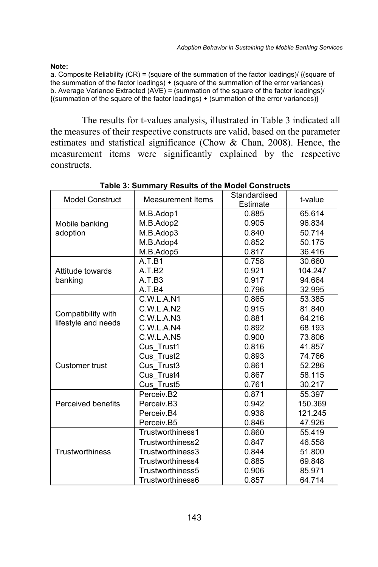**Note:**

a. Composite Reliability (CR) = (square of the summation of the factor loadings)/ {(square of the summation of the factor loadings) + (square of the summation of the error variances) b. Average Variance Extracted (AVE) = (summation of the square of the factor loadings)/  $\{$ (summation of the square of the factor loadings) + (summation of the error variances) $\}$ 

The results for t-values analysis, illustrated in Table 3 indicated all the measures of their respective constructs are valid, based on the parameter estimates and statistical significance (Chow & Chan, 2008). Hence, the measurement items were significantly explained by the respective constructs.

| Model Construct     | <b>Measurement Items</b> | Standardised<br>Estimate | t-value |  |
|---------------------|--------------------------|--------------------------|---------|--|
|                     | M.B.Adop1                | 0.885                    | 65.614  |  |
| Mobile banking      | M.B.Adop2                | 0.905                    | 96.834  |  |
| adoption            | M.B.Adop3                | 0.840                    | 50.714  |  |
|                     | M.B.Adop4                | 0.852                    | 50.175  |  |
|                     | M.B.Adop5                | 0.817                    | 36.416  |  |
|                     | A.T.B1                   | 0.758                    | 30.660  |  |
| Attitude towards    | A.T.B2                   | 0.921                    | 104.247 |  |
| banking             | A.T.B3                   | 0.917                    |         |  |
|                     | A.T.B4                   | 0.796                    | 32.995  |  |
|                     | C.W.L.A.N1               | 0.865                    | 53.385  |  |
| Compatibility with  | C.W.L.A.N2               | 0.915                    | 81.840  |  |
| lifestyle and needs | C.W.L.A.N3               | 0.881                    | 64.216  |  |
|                     | C.W.L.A.N4               | 0.892                    | 68.193  |  |
|                     | C.W.L.A.N5               | 0.900                    | 73.806  |  |
|                     | Cus Trust1               | 0.816                    | 41.857  |  |
|                     | Cus Trust2               | 0.893                    | 74.766  |  |
| Customer trust      | Cus Trust3               | 0.861                    | 52.286  |  |
|                     | Cus Trust4               | 0.867                    | 58.115  |  |
|                     | Cus Trust5               | 0.761                    | 30.217  |  |
|                     | Perceiv.B2               | 0.871                    | 55.397  |  |
| Perceived benefits  | Perceiv.B3               | 0.942                    | 150.369 |  |
|                     | Perceiv.B4               | 0.938                    | 121.245 |  |
|                     | Perceiv.B5               | 0.846                    | 47.926  |  |
|                     | Trustworthiness1         | 0.860                    | 55.419  |  |
|                     | Trustworthiness2         | 0.847                    | 46.558  |  |
| Trustworthiness     | Trustworthiness3         | 0.844                    | 51.800  |  |
|                     | Trustworthiness4         | 0.885                    | 69.848  |  |
|                     | Trustworthiness5         | 0.906                    | 85.971  |  |
|                     | Trustworthiness6         | 0.857                    | 64.714  |  |

**Table 3: Summary Results of the Model Constructs**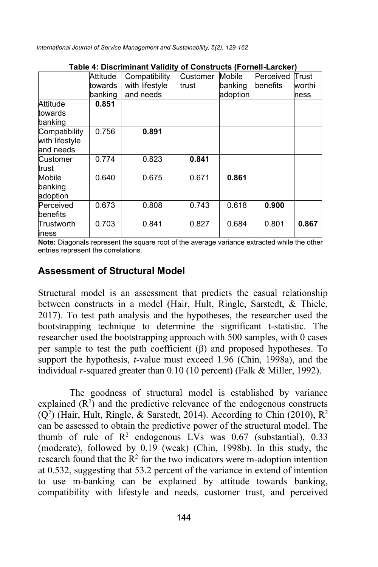|                                              |          | <u>ravic 4. Discriminant validity of Constructs (Fornell-Larcher)</u> |          |          |           |        |
|----------------------------------------------|----------|-----------------------------------------------------------------------|----------|----------|-----------|--------|
|                                              | Attitude | Compatibility                                                         | Customer | Mobile   | Perceived | Trust  |
|                                              | towards  | with lifestyle                                                        | trust    | banking  | benefits  | worthi |
|                                              | banking  | and needs                                                             |          | adoption |           | ness   |
| Attitude<br>towards<br>banking               | 0.851    |                                                                       |          |          |           |        |
| Compatibility<br>with lifestyle<br>and needs | 0.756    | 0.891                                                                 |          |          |           |        |
| Customer<br>trust                            | 0.774    | 0.823                                                                 | 0.841    |          |           |        |
| Mobile<br>banking<br>adoption                | 0.640    | 0.675                                                                 | 0.671    | 0.861    |           |        |
| Perceived<br>benefits                        | 0.673    | 0.808                                                                 | 0.743    | 0.618    | 0.900     |        |
| lTrustworth<br>iness                         | 0.703    | 0.841                                                                 | 0.827    | 0.684    | 0.801     | 0.867  |

#### **Table 4: Discriminant Validity of Constructs (Fornell-Larcker)**

**Note:** Diagonals represent the square root of the average variance extracted while the other entries represent the correlations.

#### **Assessment of Structural Model**

Structural model is an assessment that predicts the casual relationship between constructs in a model (Hair, Hult, Ringle, Sarstedt, & Thiele, 2017). To test path analysis and the hypotheses, the researcher used the bootstrapping technique to determine the significant t-statistic. The researcher used the bootstrapping approach with 500 samples, with 0 cases per sample to test the path coefficient  $(\beta)$  and proposed hypotheses. To support the hypothesis, *t*-value must exceed 1.96 (Chin, 1998a), and the individual *r*-squared greater than 0.10 (10 percent) (Falk & Miller, 1992).

The goodness of structural model is established by variance explained  $(R<sup>2</sup>)$  and the predictive relevance of the endogenous constructs  $(Q<sup>2</sup>)$  (Hair, Hult, Ringle, & Sarstedt, 2014). According to Chin (2010), R<sup>2</sup> can be assessed to obtain the predictive power of the structural model. The thumb of rule of  $\mathbb{R}^2$  endogenous LVs was 0.67 (substantial), 0.33 (moderate), followed by 0.19 (weak) (Chin, 1998b). In this study, the research found that the  $R^2$  for the two indicators were m-adoption intention at 0.532, suggesting that 53.2 percent of the variance in extend of intention to use m-banking can be explained by attitude towards banking, compatibility with lifestyle and needs, customer trust, and perceived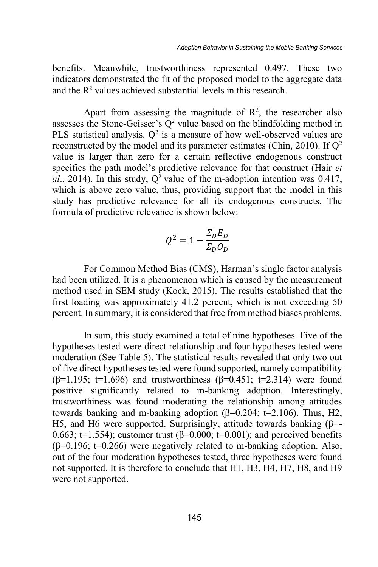benefits. Meanwhile, trustworthiness represented 0.497. These two indicators demonstrated the fit of the proposed model to the aggregate data and the  $R<sup>2</sup>$  values achieved substantial levels in this research.

Apart from assessing the magnitude of  $\mathbb{R}^2$ , the researcher also assesses the Stone-Geisser's  $Q^2$  value based on the blindfolding method in PLS statistical analysis.  $Q^2$  is a measure of how well-observed values are reconstructed by the model and its parameter estimates (Chin, 2010). If Q2 value is larger than zero for a certain reflective endogenous construct specifies the path model's predictive relevance for that construct (Hair *et*   $a\bar{l}$ , 2014). In this study,  $Q^2$  value of the m-adoption intention was 0.417, which is above zero value, thus, providing support that the model in this study has predictive relevance for all its endogenous constructs. The formula of predictive relevance is shown below:

$$
Q^2 = 1 - \frac{\Sigma_D E_D}{\Sigma_D O_D}
$$

For Common Method Bias (CMS), Harman's single factor analysis had been utilized. It is a phenomenon which is caused by the measurement method used in SEM study (Kock, 2015). The results established that the first loading was approximately 41.2 percent, which is not exceeding 50 percent. In summary, it is considered that free from method biases problems.

In sum, this study examined a total of nine hypotheses. Five of the hypotheses tested were direct relationship and four hypotheses tested were moderation (See Table 5). The statistical results revealed that only two out of five direct hypotheses tested were found supported, namely compatibility ( $\beta$ =1.195; t=1.696) and trustworthiness ( $\beta$ =0.451; t=2.314) were found positive significantly related to m-banking adoption. Interestingly, trustworthiness was found moderating the relationship among attitudes towards banking and m-banking adoption ( $β=0.204$ ;  $t=2.106$ ). Thus, H2, H5, and H6 were supported. Surprisingly, attitude towards banking (β=- 0.663; t=1.554); customer trust ( $\beta$ =0.000; t=0.001); and perceived benefits ( $\beta$ =0.196; t=0.266) were negatively related to m-banking adoption. Also, out of the four moderation hypotheses tested, three hypotheses were found not supported. It is therefore to conclude that H1, H3, H4, H7, H8, and H9 were not supported.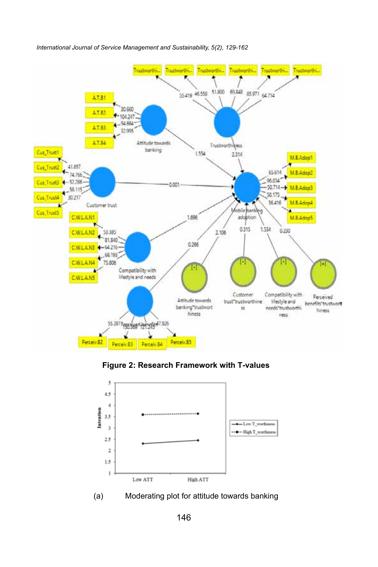

*Adoption Behavior in Sustaining the Mobile Banking Services International Journal of Service Management and Sustainability, 5(2), 129-162*





(a) Moderating plot for attitude towards banking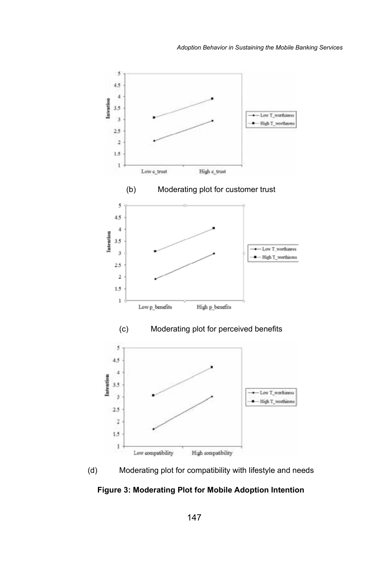



**Figure 3: Moderating Plot for Mobile Adoption Intention**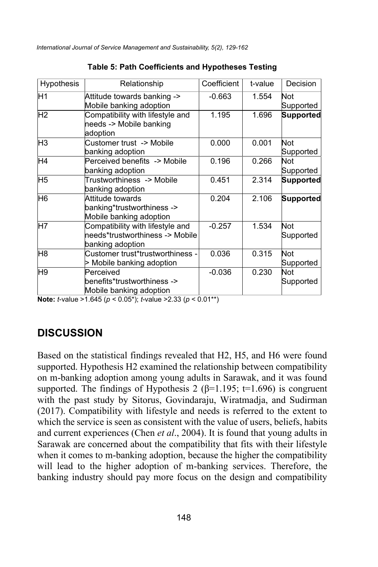| Hypothesis     | Relationship                                                                            | Coefficient | t-value | Decision         |
|----------------|-----------------------------------------------------------------------------------------|-------------|---------|------------------|
| H <sub>1</sub> | Attitude towards banking -><br>Mobile banking adoption                                  | $-0.663$    | 1.554   | Not<br>Supported |
| H <sub>2</sub> | Compatibility with lifestyle and<br>needs -> Mobile banking<br>adoption                 | 1.195       | 1.696   | <b>Supported</b> |
| H3             | Customer trust -> Mobile<br>banking adoption                                            | 0.000       | 0.001   | Not<br>Supported |
| H4             | Perceived benefits -> Mobile<br>banking adoption                                        | 0.196       | 0.266   | Not<br>Supported |
| H <sub>5</sub> | Trustworthiness -> Mobile<br>banking adoption                                           | 0.451       | 2.314   | <b>Supported</b> |
| H6             | Attitude towards<br>banking*trustworthiness -><br>Mobile banking adoption               | 0.204       | 2.106   | <b>Supported</b> |
| H7             | Compatibility with lifestyle and<br>needs*trustworthiness -> Mobile<br>banking adoption | $-0.257$    | 1.534   | Not<br>Supported |
| H8             | Customer trust*trustworthiness -<br>> Mobile banking adoption                           | 0.036       | 0.315   | Not<br>Supported |
| H <sub>9</sub> | Perceived<br>benefits*trustworthiness -><br>Mobile banking adoption                     | $-0.036$    | 0.230   | Not<br>Supported |

**Table 5: Path Coefficients and Hypotheses Testing**

**Note:** *t*-value >1.645 (*p* < 0.05\*); *t*-value >2.33 (*p* < 0.01\*\*)

#### **DISCUSSION**

Based on the statistical findings revealed that H2, H5, and H6 were found supported. Hypothesis H2 examined the relationship between compatibility on m-banking adoption among young adults in Sarawak, and it was found supported. The findings of Hypothesis 2 ( $\beta$ =1.195; t=1.696) is congruent with the past study by Sitorus, Govindaraju, Wiratmadja, and Sudirman (2017). Compatibility with lifestyle and needs is referred to the extent to which the service is seen as consistent with the value of users, beliefs, habits and current experiences (Chen *et al*., 2004). It is found that young adults in Sarawak are concerned about the compatibility that fits with their lifestyle when it comes to m-banking adoption, because the higher the compatibility will lead to the higher adoption of m-banking services. Therefore, the banking industry should pay more focus on the design and compatibility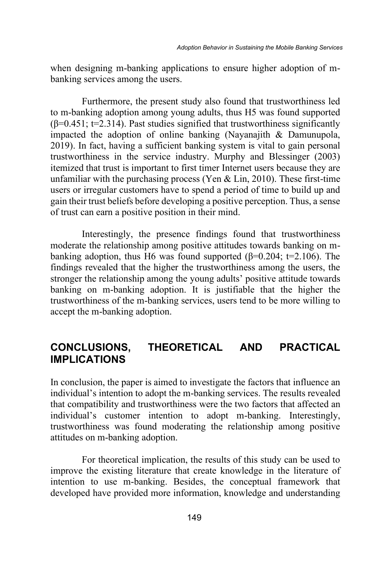when designing m-banking applications to ensure higher adoption of mbanking services among the users.

Furthermore, the present study also found that trustworthiness led to m-banking adoption among young adults, thus H5 was found supported  $(\beta=0.451; t=2.314)$ . Past studies signified that trustworthiness significantly impacted the adoption of online banking (Nayanajith & Damunupola, 2019). In fact, having a sufficient banking system is vital to gain personal trustworthiness in the service industry. Murphy and Blessinger (2003) itemized that trust is important to first timer Internet users because they are unfamiliar with the purchasing process (Yen  $& Lin, 2010$ ). These first-time users or irregular customers have to spend a period of time to build up and gain their trust beliefs before developing a positive perception. Thus, a sense of trust can earn a positive position in their mind.

Interestingly, the presence findings found that trustworthiness moderate the relationship among positive attitudes towards banking on mbanking adoption, thus H6 was found supported ( $\beta$ =0.204; t=2.106). The findings revealed that the higher the trustworthiness among the users, the stronger the relationship among the young adults' positive attitude towards banking on m-banking adoption. It is justifiable that the higher the trustworthiness of the m-banking services, users tend to be more willing to accept the m-banking adoption.

### **CONCLUSIONS, THEORETICAL AND PRACTICAL IMPLICATIONS**

In conclusion, the paper is aimed to investigate the factors that influence an individual's intention to adopt the m-banking services. The results revealed that compatibility and trustworthiness were the two factors that affected an individual's customer intention to adopt m-banking. Interestingly, trustworthiness was found moderating the relationship among positive attitudes on m-banking adoption.

For theoretical implication, the results of this study can be used to improve the existing literature that create knowledge in the literature of intention to use m-banking. Besides, the conceptual framework that developed have provided more information, knowledge and understanding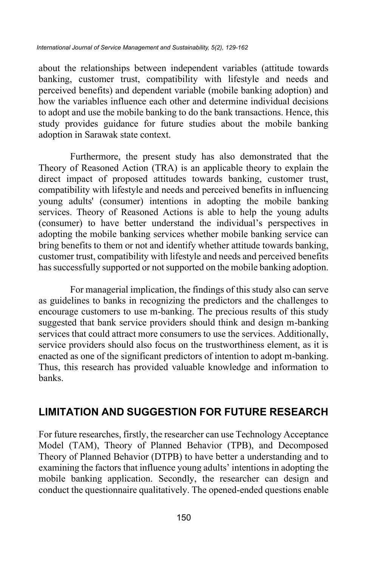about the relationships between independent variables (attitude towards banking, customer trust, compatibility with lifestyle and needs and perceived benefits) and dependent variable (mobile banking adoption) and how the variables influence each other and determine individual decisions to adopt and use the mobile banking to do the bank transactions. Hence, this study provides guidance for future studies about the mobile banking adoption in Sarawak state context.

Furthermore, the present study has also demonstrated that the Theory of Reasoned Action (TRA) is an applicable theory to explain the direct impact of proposed attitudes towards banking, customer trust, compatibility with lifestyle and needs and perceived benefits in influencing young adults' (consumer) intentions in adopting the mobile banking services. Theory of Reasoned Actions is able to help the young adults (consumer) to have better understand the individual's perspectives in adopting the mobile banking services whether mobile banking service can bring benefits to them or not and identify whether attitude towards banking, customer trust, compatibility with lifestyle and needs and perceived benefits has successfully supported or not supported on the mobile banking adoption.

For managerial implication, the findings of this study also can serve as guidelines to banks in recognizing the predictors and the challenges to encourage customers to use m-banking. The precious results of this study suggested that bank service providers should think and design m-banking services that could attract more consumers to use the services. Additionally, service providers should also focus on the trustworthiness element, as it is enacted as one of the significant predictors of intention to adopt m-banking. Thus, this research has provided valuable knowledge and information to banks.

## **LIMITATION AND SUGGESTION FOR FUTURE RESEARCH**

For future researches, firstly, the researcher can use Technology Acceptance Model (TAM), Theory of Planned Behavior (TPB), and Decomposed Theory of Planned Behavior (DTPB) to have better a understanding and to examining the factors that influence young adults' intentions in adopting the mobile banking application. Secondly, the researcher can design and conduct the questionnaire qualitatively. The opened-ended questions enable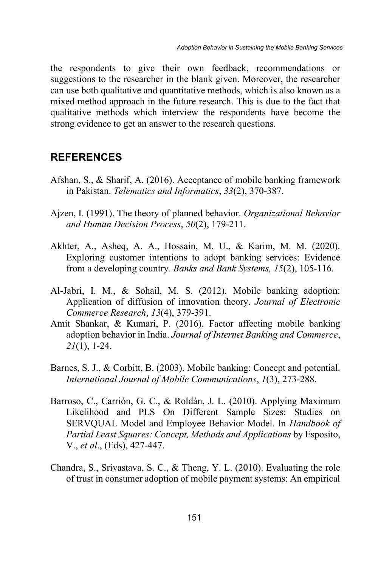the respondents to give their own feedback, recommendations or suggestions to the researcher in the blank given. Moreover, the researcher can use both qualitative and quantitative methods, which is also known as a mixed method approach in the future research. This is due to the fact that qualitative methods which interview the respondents have become the strong evidence to get an answer to the research questions.

#### **REFERENCES**

- Afshan, S., & Sharif, A. (2016). Acceptance of mobile banking framework in Pakistan. *Telematics and Informatics*, *33*(2), 370-387.
- Ajzen, I. (1991). The theory of planned behavior. *Organizational Behavior and Human Decision Process*, *50*(2), 179-211.
- Akhter, A., Asheq, A. A., Hossain, M. U., & Karim, M. M. (2020). Exploring customer intentions to adopt banking services: Evidence from a developing country. *Banks and Bank Systems, 15*(2), 105-116.
- Al-Jabri, I. M., & Sohail, M. S. (2012). Mobile banking adoption: Application of diffusion of innovation theory. *Journal of Electronic Commerce Research*, *13*(4), 379-391.
- Amit Shankar, & Kumari, P. (2016). Factor affecting mobile banking adoption behavior in India. *Journal of Internet Banking and Commerce*, *21*(1), 1-24.
- Barnes, S. J., & Corbitt, B. (2003). Mobile banking: Concept and potential. *International Journal of Mobile Communications*, *1*(3), 273-288.
- Barroso, C., Carrión, G. C., & Roldán, J. L. (2010). Applying Maximum Likelihood and PLS On Different Sample Sizes: Studies on SERVQUAL Model and Employee Behavior Model. In *Handbook of Partial Least Squares: Concept, Methods and Applications* by Esposito, V., *et al*., (Eds), 427-447.
- Chandra, S., Srivastava, S. C., & Theng, Y. L. (2010). Evaluating the role of trust in consumer adoption of mobile payment systems: An empirical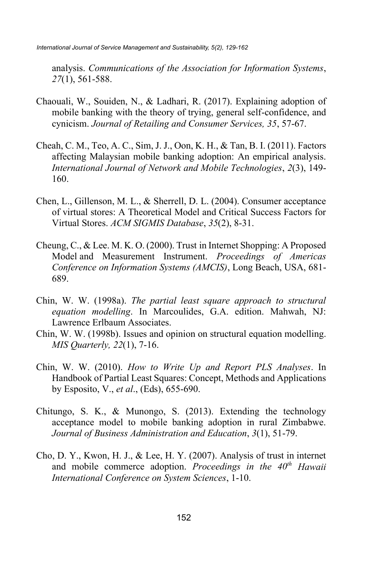analysis. *Communications of the Association for Information Systems*, *27*(1), 561-588.

- Chaouali, W., Souiden, N., & Ladhari, R. (2017). Explaining adoption of mobile banking with the theory of trying, general self-confidence, and cynicism. *Journal of Retailing and Consumer Services, 35*, 57-67.
- Cheah, C. M., Teo, A. C., Sim, J. J., Oon, K. H., & Tan, B. I. (2011). Factors affecting Malaysian mobile banking adoption: An empirical analysis. *International Journal of Network and Mobile Technologies*, *2*(3), 149- 160.
- Chen, L., Gillenson, M. L., & Sherrell, D. L. (2004). Consumer acceptance of virtual stores: A Theoretical Model and Critical Success Factors for Virtual Stores. *ACM SIGMIS Database*, *35*(2), 8-31.
- Cheung, C., & Lee. M. K. O. (2000). Trust in Internet Shopping: A Proposed Model and Measurement Instrument. *Proceedings of Americas Conference on Information Systems (AMCIS)*, Long Beach, USA, 681- 689.
- Chin, W. W. (1998a). *The partial least square approach to structural equation modelling*. In Marcoulides, G.A. edition. Mahwah, NJ: Lawrence Erlbaum Associates.
- Chin, W. W. (1998b). Issues and opinion on structural equation modelling. *MIS Quarterly, 22*(1), 7-16.
- Chin, W. W. (2010). *How to Write Up and Report PLS Analyses*. In Handbook of Partial Least Squares: Concept, Methods and Applications by Esposito, V., *et al*., (Eds), 655-690.
- Chitungo, S. K., & Munongo, S. (2013). Extending the technology acceptance model to mobile banking adoption in rural Zimbabwe. *Journal of Business Administration and Education*, *3*(1), 51-79.
- Cho, D. Y., Kwon, H. J., & Lee, H. Y. (2007). Analysis of trust in internet and mobile commerce adoption. *Proceedings in the 40th Hawaii International Conference on System Sciences*, 1-10.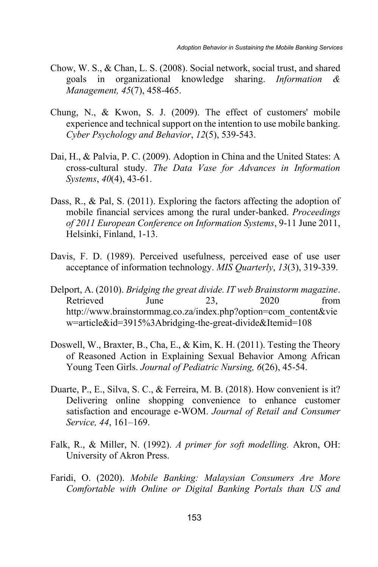- Chow, W. S., & Chan, L. S. (2008). Social network, social trust, and shared goals in organizational knowledge sharing. *Information & Management, 45*(7), 458-465.
- Chung, N., & Kwon, S. J. (2009). The effect of customers' mobile experience and technical support on the intention to use mobile banking. *Cyber Psychology and Behavior*, *12*(5), 539-543.
- Dai, H., & Palvia, P. C. (2009). Adoption in China and the United States: A cross-cultural study. *The Data Vase for Advances in Information Systems*, *40*(4), 43-61.
- Dass, R., & Pal, S. (2011). Exploring the factors affecting the adoption of mobile financial services among the rural under-banked. *Proceedings of 2011 European Conference on Information Systems*, 9-11 June 2011, Helsinki, Finland, 1-13.
- Davis, F. D. (1989). Perceived usefulness, perceived ease of use user acceptance of information technology. *MIS Quarterly*, *13*(3), 319-339.
- Delport, A. (2010). *Bridging the great divide. IT web Brainstorm magazine*. Retrieved June 23, 2020 from http://www.brainstormmag.co.za/index.php?option=com\_content&vie w=article&id=3915%3Abridging-the-great-divide&Itemid=108
- Doswell, W., Braxter, B., Cha, E., & Kim, K. H. (2011). Testing the Theory of Reasoned Action in Explaining Sexual Behavior Among African Young Teen Girls. *Journal of Pediatric Nursing, 6*(26), 45-54.
- Duarte, P., E., Silva, S. C., & Ferreira, M. B. (2018). How convenient is it? Delivering online shopping convenience to enhance customer satisfaction and encourage e-WOM. *Journal of Retail and Consumer Service, 44*, 161–169.
- Falk, R., & Miller, N. (1992). *A primer for soft modelling.* Akron, OH: University of Akron Press.
- Faridi, O. (2020). *Mobile Banking: Malaysian Consumers Are More Comfortable with Online or Digital Banking Portals than US and*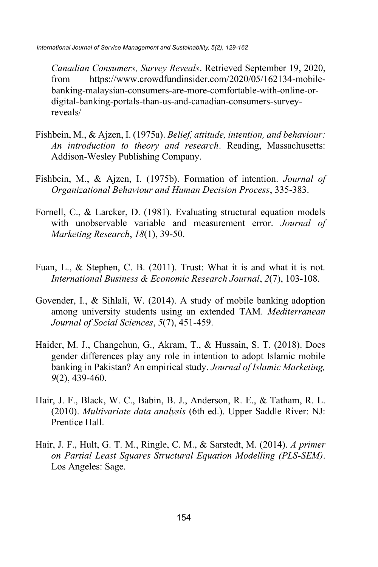*Canadian Consumers, Survey Reveals*. Retrieved September 19, 2020, from https://www.crowdfundinsider.com/2020/05/162134-mobilebanking-malaysian-consumers-are-more-comfortable-with-online-ordigital-banking-portals-than-us-and-canadian-consumers-surveyreveals/

- Fishbein, M., & Ajzen, I. (1975a). *Belief, attitude, intention, and behaviour: An introduction to theory and research*. Reading, Massachusetts: Addison-Wesley Publishing Company.
- Fishbein, M., & Ajzen, I. (1975b). Formation of intention. *Journal of Organizational Behaviour and Human Decision Process*, 335-383.
- Fornell, C., & Larcker, D. (1981). Evaluating structural equation models with unobservable variable and measurement error. *Journal of Marketing Research*, *18*(1), 39-50.
- Fuan, L., & Stephen, C. B. (2011). Trust: What it is and what it is not. *International Business & Economic Research Journal*, *2*(7), 103-108.
- Govender, I., & Sihlali, W. (2014). A study of mobile banking adoption among university students using an extended TAM. *Mediterranean Journal of Social Sciences*, *5*(7), 451-459.
- Haider, M. J., Changchun, G., Akram, T., & Hussain, S. T. (2018). Does gender differences play any role in intention to adopt Islamic mobile banking in Pakistan? An empirical study. *Journal of Islamic Marketing, 9*(2), 439-460.
- Hair, J. F., Black, W. C., Babin, B. J., Anderson, R. E., & Tatham, R. L. (2010). *Multivariate data analysis* (6th ed.). Upper Saddle River: NJ: Prentice Hall.
- Hair, J. F., Hult, G. T. M., Ringle, C. M., & Sarstedt, M. (2014). *A primer on Partial Least Squares Structural Equation Modelling (PLS-SEM)*. Los Angeles: Sage.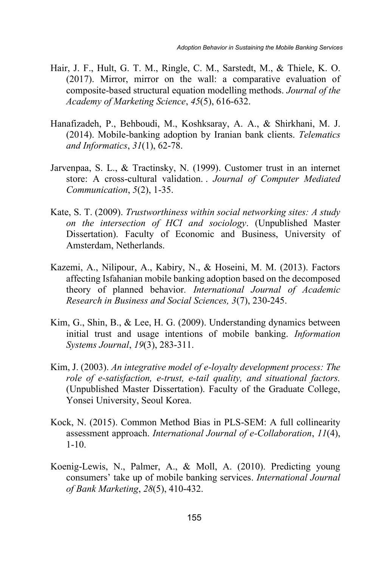- Hair, J. F., Hult, G. T. M., Ringle, C. M., Sarstedt, M., & Thiele, K. O. (2017). Mirror, mirror on the wall: a comparative evaluation of composite-based structural equation modelling methods. *Journal of the Academy of Marketing Science*, *45*(5), 616-632.
- Hanafizadeh, P., Behboudi, M., Koshksaray, A. A., & Shirkhani, M. J. (2014). Mobile-banking adoption by Iranian bank clients. *Telematics and Informatics*, *31*(1), 62-78.
- Jarvenpaa, S. L., & Tractinsky, N. (1999). Customer trust in an internet store: A cross-cultural validation. . *Journal of Computer Mediated Communication*, *5*(2), 1-35.
- Kate, S. T. (2009). *Trustworthiness within social networking sites: A study on the intersection of HCI and sociology*. (Unpublished Master Dissertation). Faculty of Economic and Business, University of Amsterdam, Netherlands.
- Kazemi, A., Nilipour, A., Kabiry, N., & Hoseini, M. M. (2013). Factors affecting Isfahanian mobile banking adoption based on the decomposed theory of planned behavior*. International Journal of Academic Research in Business and Social Sciences, 3*(7), 230-245.
- Kim, G., Shin, B., & Lee, H. G. (2009). Understanding dynamics between initial trust and usage intentions of mobile banking. *Information Systems Journal*, *19*(3), 283-311.
- Kim, J. (2003). *An integrative model of e-loyalty development process: The role of e-satisfaction, e-trust, e-tail quality, and situational factors.* (Unpublished Master Dissertation). Faculty of the Graduate College, Yonsei University, Seoul Korea.
- Kock, N. (2015). Common Method Bias in PLS-SEM: A full collinearity assessment approach. *International Journal of e-Collaboration*, *11*(4), 1-10.
- Koenig-Lewis, N., Palmer, A., & Moll, A. (2010). Predicting young consumers' take up of mobile banking services. *International Journal of Bank Marketing*, *28*(5), 410-432.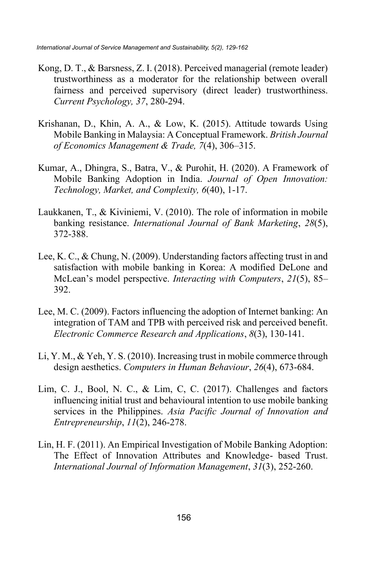- Kong, D. T., & Barsness, Z. I. (2018). Perceived managerial (remote leader) trustworthiness as a moderator for the relationship between overall fairness and perceived supervisory (direct leader) trustworthiness. *Current Psychology, 37*, 280-294.
- Krishanan, D., Khin, A. A., & Low, K. (2015). Attitude towards Using Mobile Banking in Malaysia: A Conceptual Framework. *British Journal of Economics Management & Trade, 7*(4), 306–315.
- Kumar, A., Dhingra, S., Batra, V., & Purohit, H. (2020). A Framework of Mobile Banking Adoption in India. *Journal of Open Innovation: Technology, Market, and Complexity, 6*(40), 1-17.
- Laukkanen, T., & Kiviniemi, V. (2010). The role of information in mobile banking resistance. *International Journal of Bank Marketing*, *28*(5), 372-388.
- Lee, K. C., & Chung, N. (2009). Understanding factors affecting trust in and satisfaction with mobile banking in Korea: A modified DeLone and McLean's model perspective. *Interacting with Computers*, *21*(5), 85– 392.
- Lee, M. C. (2009). Factors influencing the adoption of Internet banking: An integration of TAM and TPB with perceived risk and perceived benefit. *Electronic Commerce Research and Applications*, *8*(3), 130-141.
- Li, Y. M., & Yeh, Y. S. (2010). Increasing trust in mobile commerce through design aesthetics. *Computers in Human Behaviour*, *26*(4), 673-684.
- Lim, C. J., Bool, N. C., & Lim, C, C. (2017). Challenges and factors influencing initial trust and behavioural intention to use mobile banking services in the Philippines. *Asia Pacific Journal of Innovation and Entrepreneurship*, *11*(2), 246-278.
- Lin, H. F. (2011). An Empirical Investigation of Mobile Banking Adoption: The Effect of Innovation Attributes and Knowledge- based Trust. *International Journal of Information Management*, *31*(3), 252-260.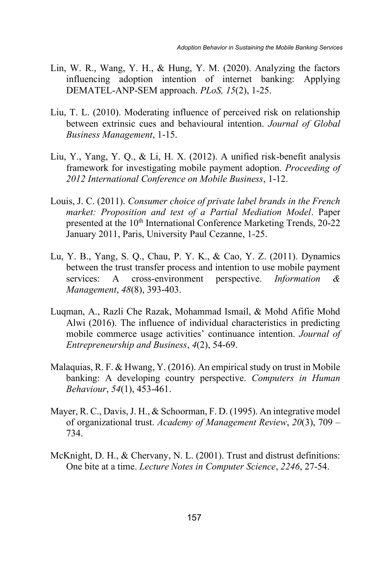- Lin, W. R., Wang, Y. H., & Hung, Y. M. (2020). Analyzing the factors influencing adoption intention of internet banking: Applying DEMATEL-ANP-SEM approach. *PLoS, 15*(2), 1-25.
- Liu, T. L. (2010). Moderating influence of perceived risk on relationship between extrinsic cues and behavioural intention. *Journal of Global Business Management*, 1-15.
- Liu, Y., Yang, Y. Q., & Li, H. X. (2012). A unified risk-benefit analysis framework for investigating mobile payment adoption. *Proceeding of 2012 International Conference on Mobile Business*, 1-12.
- Louis, J. C. (2011). *Consumer choice of private label brands in the French market: Proposition and test of a Partial Mediation Model*. Paper presented at the 10<sup>th</sup> International Conference Marketing Trends, 20-22 January 2011, Paris, University Paul Cezanne, 1-25.
- Lu, Y. B., Yang, S. Q., Chau, P. Y. K., & Cao, Y. Z. (2011). Dynamics between the trust transfer process and intention to use mobile payment services: A cross-environment perspective. *Information & Management*, *48*(8), 393-403.
- Luqman, A., Razli Che Razak, Mohammad Ismail, & Mohd Afifie Mohd Alwi (2016). The influence of individual characteristics in predicting mobile commerce usage activities' continuance intention. *Journal of Entrepreneurship and Business*, *4*(2), 54-69.
- Malaquias, R. F. & Hwang, Y. (2016). An empirical study on trust in Mobile banking: A developing country perspective. *Computers in Human Behaviour*, *54*(1), 453-461.
- Mayer, R. C., Davis, J. H., & Schoorman, F. D. (1995). An integrative model of organizational trust. *Academy of Management Review*, *20*(3), 709 – 734.
- McKnight, D. H., & Chervany, N. L. (2001). Trust and distrust definitions: One bite at a time. *Lecture Notes in Computer Science*, *2246*, 27-54.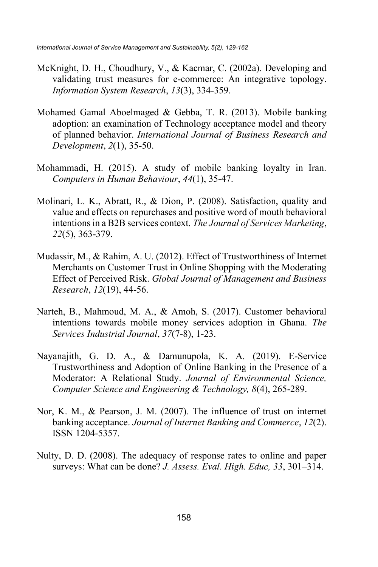- McKnight, D. H., Choudhury, V., & Kacmar, C. (2002a). Developing and validating trust measures for e-commerce: An integrative topology. *Information System Research*, *13*(3), 334-359.
- Mohamed Gamal Aboelmaged & Gebba, T. R. (2013). Mobile banking adoption: an examination of Technology acceptance model and theory of planned behavior. *International Journal of Business Research and Development*, *2*(1), 35-50.
- Mohammadi, H. (2015). A study of mobile banking loyalty in Iran. *Computers in Human Behaviour*, *44*(1), 35-47.
- Molinari, L. K., Abratt, R., & Dion, P. (2008). Satisfaction, quality and value and effects on repurchases and positive word of mouth behavioral intentions in a B2B services context. *The Journal of Services Marketing*, *22*(5), 363-379.
- Mudassir, M., & Rahim, A. U. (2012). Effect of Trustworthiness of Internet Merchants on Customer Trust in Online Shopping with the Moderating Effect of Perceived Risk. *Global Journal of Management and Business Research*, *12*(19), 44-56.
- Narteh, B., Mahmoud, M. A., & Amoh, S. (2017). Customer behavioral intentions towards mobile money services adoption in Ghana. *The Services Industrial Journal*, *37*(7-8), 1-23.
- Nayanajith, G. D. A., & Damunupola, K. A. (2019). E-Service Trustworthiness and Adoption of Online Banking in the Presence of a Moderator: A Relational Study. *Journal of Environmental Science, Computer Science and Engineering & Technology, 8*(4), 265-289.
- Nor, K. M., & Pearson, J. M. (2007). The influence of trust on internet banking acceptance. *Journal of Internet Banking and Commerce*, *12*(2). ISSN 1204-5357.
- Nulty, D. D. (2008). The adequacy of response rates to online and paper surveys: What can be done? *J. Assess. Eval. High. Educ, 33*, 301–314.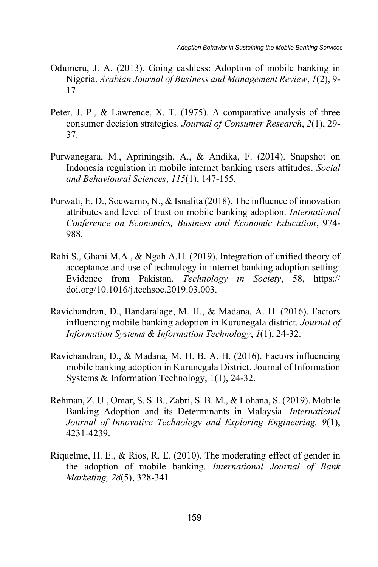- Odumeru, J. A. (2013). Going cashless: Adoption of mobile banking in Nigeria. *Arabian Journal of Business and Management Review*, *1*(2), 9- 17.
- Peter, J. P., & Lawrence, X. T. (1975). A comparative analysis of three consumer decision strategies. *Journal of Consumer Research*, *2*(1), 29- 37.
- Purwanegara, M., Apriningsih, A., & Andika, F. (2014). Snapshot on Indonesia regulation in mobile internet banking users attitudes. *Social and Behavioural Sciences*, *115*(1), 147-155.
- Purwati, E. D., Soewarno, N., & Isnalita (2018). The influence of innovation attributes and level of trust on mobile banking adoption. *International Conference on Economics, Business and Economic Education*, 974- 988.
- Rahi S., Ghani M.A., & Ngah A.H. (2019). Integration of unified theory of acceptance and use of technology in internet banking adoption setting: Evidence from Pakistan. *Technology in Society*, 58, https:// doi.org/10.1016/j.techsoc.2019.03.003.
- Ravichandran, D., Bandaralage, M. H., & Madana, A. H. (2016). Factors influencing mobile banking adoption in Kurunegala district. *Journal of Information Systems & Information Technology*, *1*(1), 24-32.
- Ravichandran, D., & Madana, M. H. B. A. H. (2016). Factors influencing mobile banking adoption in Kurunegala District. Journal of Information Systems & Information Technology, 1(1), 24-32.
- Rehman, Z. U., Omar, S. S. B., Zabri, S. B. M., & Lohana, S. (2019). Mobile Banking Adoption and its Determinants in Malaysia. *International Journal of Innovative Technology and Exploring Engineering, 9*(1), 4231-4239.
- Riquelme, H. E., & Rios, R. E. (2010). The moderating effect of gender in the adoption of mobile banking. *International Journal of Bank Marketing, 28*(5), 328-341.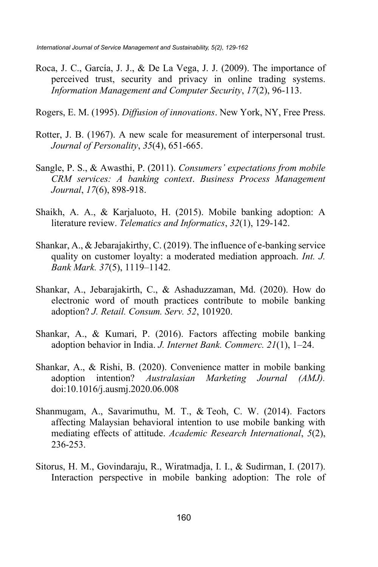- Roca, J. C., García, J. J., & De La Vega, J. J. (2009). The importance of perceived trust, security and privacy in online trading systems. *Information Management and Computer Security*, *17*(2), 96-113.
- Rogers, E. M. (1995). *Diffusion of innovations*. New York, NY, Free Press.
- Rotter, J. B. (1967). A new scale for measurement of interpersonal trust. *Journal of Personality*, *35*(4), 651-665.
- Sangle, P. S., & Awasthi, P. (2011). *Consumers' expectations from mobile CRM services: A banking context*. *Business Process Management Journal*, *17*(6), 898-918.
- Shaikh, A. A., & Karjaluoto, H. (2015). Mobile banking adoption: A literature review. *Telematics and Informatics*, *32*(1), 129-142.
- Shankar, A., & Jebarajakirthy, C. (2019). The influence of e-banking service quality on customer loyalty: a moderated mediation approach. *Int. J. Bank Mark. 37*(5), 1119–1142.
- Shankar, A., Jebarajakirth, C., & Ashaduzzaman, Md. (2020). How do electronic word of mouth practices contribute to mobile banking adoption? *J. Retail. Consum. Serv. 52*, 101920.
- Shankar, A., & Kumari, P. (2016). Factors affecting mobile banking adoption behavior in India. *J. Internet Bank. Commerc. 21*(1), 1–24.
- Shankar, A., & Rishi, B. (2020). Convenience matter in mobile banking adoption intention? *Australasian Marketing Journal (AMJ).* doi:10.1016/j.ausmj.2020.06.008
- Shanmugam, A., Savarimuthu, M. T., & Teoh, C. W. (2014). Factors affecting Malaysian behavioral intention to use mobile banking with mediating effects of attitude. *Academic Research International*, *5*(2), 236-253.
- Sitorus, H. M., Govindaraju, R., Wiratmadja, I. I., & Sudirman, I. (2017). Interaction perspective in mobile banking adoption: The role of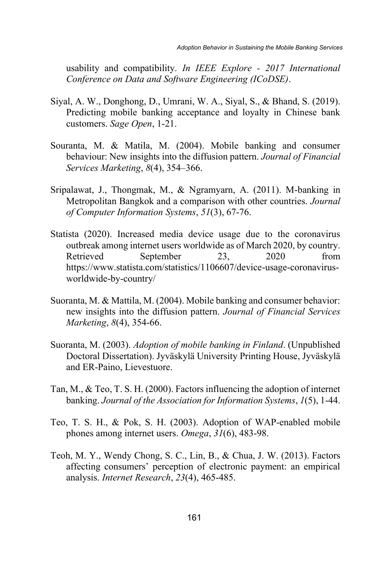usability and compatibility. *In IEEE Explore - 2017 International Conference on Data and Software Engineering (ICoDSE)*.

- Siyal, A. W., Donghong, D., Umrani, W. A., Siyal, S., & Bhand, S. (2019). Predicting mobile banking acceptance and loyalty in Chinese bank customers. *Sage Open*, 1-21.
- Souranta, M. & Matila, M. (2004). Mobile banking and consumer behaviour: New insights into the diffusion pattern. *Journal of Financial Services Marketing*, *8*(4), 354–366.
- Sripalawat, J., Thongmak, M., & Ngramyarn, A. (2011). M-banking in Metropolitan Bangkok and a comparison with other countries. *Journal of Computer Information Systems*, *51*(3), 67-76.
- Statista (2020). Increased media device usage due to the coronavirus outbreak among internet users worldwide as of March 2020, by country. Retrieved September 23, 2020 from https://www.statista.com/statistics/1106607/device-usage-coronavirusworldwide-by-country/
- Suoranta, M. & Mattila, M. (2004). Mobile banking and consumer behavior: new insights into the diffusion pattern. *Journal of Financial Services Marketing*, *8*(4), 354-66.
- Suoranta, M. (2003). *Adoption of mobile banking in Finland*. (Unpublished Doctoral Dissertation). Jyväskylä University Printing House, Jyväskylä and ER-Paino, Lievestuore.
- Tan, M., & Teo, T. S. H. (2000). Factors influencing the adoption of internet banking. *Journal of the Association for Information Systems*, *1*(5), 1-44.
- Teo, T. S. H., & Pok, S. H. (2003). Adoption of WAP-enabled mobile phones among internet users. *Omega*, *31*(6), 483-98.
- Teoh, M. Y., Wendy Chong, S. C., Lin, B., & Chua, J. W. (2013). Factors affecting consumers' perception of electronic payment: an empirical analysis. *Internet Research*, *23*(4), 465-485.